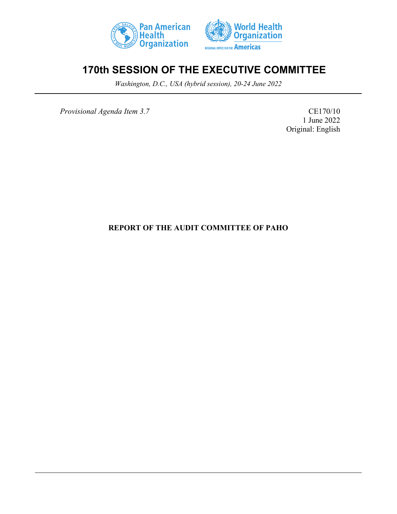



# **170th SESSION OF THE EXECUTIVE COMMITTEE**

*Washington, D.C., USA (hybrid session), 20-24 June 2022*

*Provisional Agenda Item 3.7* CE170/10

1 June 2022 Original: English

## **REPORT OF THE AUDIT COMMITTEE OF PAHO**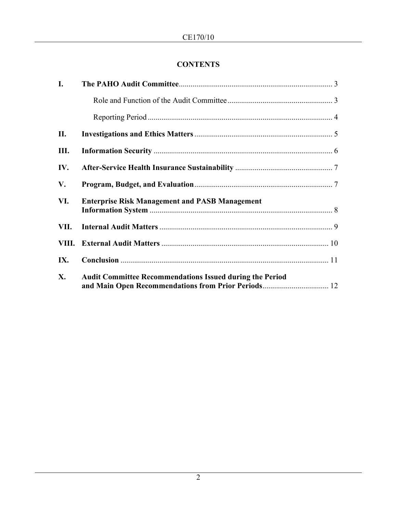## **CONTENTS**

| I.   |                                                                                                                        |  |  |  |  |
|------|------------------------------------------------------------------------------------------------------------------------|--|--|--|--|
|      |                                                                                                                        |  |  |  |  |
|      |                                                                                                                        |  |  |  |  |
| П.   |                                                                                                                        |  |  |  |  |
| Ш.   |                                                                                                                        |  |  |  |  |
| IV.  |                                                                                                                        |  |  |  |  |
| V.   |                                                                                                                        |  |  |  |  |
| VI.  | <b>Enterprise Risk Management and PASB Management</b>                                                                  |  |  |  |  |
| VII. |                                                                                                                        |  |  |  |  |
|      |                                                                                                                        |  |  |  |  |
| IX.  |                                                                                                                        |  |  |  |  |
| X.   | <b>Audit Committee Recommendations Issued during the Period</b><br>and Main Open Recommendations from Prior Periods 12 |  |  |  |  |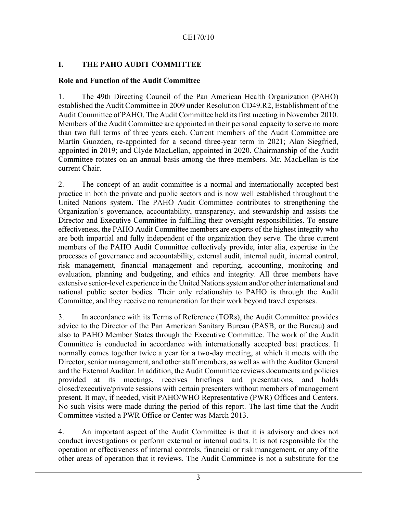## <span id="page-2-0"></span>**I. THE PAHO AUDIT COMMITTEE**

#### <span id="page-2-1"></span>**Role and Function of the Audit Committee**

1. The 49th Directing Council of the Pan American Health Organization (PAHO) established the Audit Committee in 2009 under Resolution CD49.R2, Establishment of the Audit Committee of PAHO. The Audit Committee held its first meeting in November 2010. Members of the Audit Committee are appointed in their personal capacity to serve no more than two full terms of three years each. Current members of the Audit Committee are Martín Guozden, re-appointed for a second three-year term in 2021; Alan Siegfried, appointed in 2019; and Clyde MacLellan, appointed in 2020. Chairmanship of the Audit Committee rotates on an annual basis among the three members. Mr. MacLellan is the current Chair.

2. The concept of an audit committee is a normal and internationally accepted best practice in both the private and public sectors and is now well established throughout the United Nations system. The PAHO Audit Committee contributes to strengthening the Organization's governance, accountability, transparency, and stewardship and assists the Director and Executive Committee in fulfilling their oversight responsibilities. To ensure effectiveness, the PAHO Audit Committee members are experts of the highest integrity who are both impartial and fully independent of the organization they serve. The three current members of the PAHO Audit Committee collectively provide, inter alia, expertise in the processes of governance and accountability, external audit, internal audit, internal control, risk management, financial management and reporting, accounting, monitoring and evaluation, planning and budgeting, and ethics and integrity. All three members have extensive senior-level experience in the United Nations system and/or other international and national public sector bodies. Their only relationship to PAHO is through the Audit Committee, and they receive no remuneration for their work beyond travel expenses.

3. In accordance with its Terms of Reference (TORs), the Audit Committee provides advice to the Director of the Pan American Sanitary Bureau (PASB, or the Bureau) and also to PAHO Member States through the Executive Committee. The work of the Audit Committee is conducted in accordance with internationally accepted best practices. It normally comes together twice a year for a two-day meeting, at which it meets with the Director, senior management, and other staff members, as well as with the Auditor General and the External Auditor. In addition, the Audit Committee reviews documents and policies provided at its meetings, receives briefings and presentations, and holds closed/executive/private sessions with certain presenters without members of management present. It may, if needed, visit PAHO/WHO Representative (PWR) Offices and Centers. No such visits were made during the period of this report. The last time that the Audit Committee visited a PWR Office or Center was March 2013.

4. An important aspect of the Audit Committee is that it is advisory and does not conduct investigations or perform external or internal audits. It is not responsible for the operation or effectiveness of internal controls, financial or risk management, or any of the other areas of operation that it reviews. The Audit Committee is not a substitute for the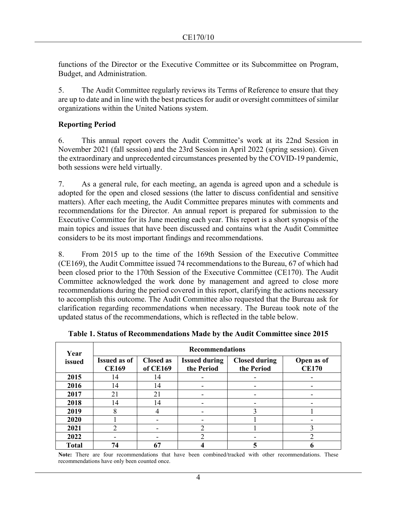functions of the Director or the Executive Committee or its Subcommittee on Program, Budget, and Administration.

5. The Audit Committee regularly reviews its Terms of Reference to ensure that they are up to date and in line with the best practices for audit or oversight committees of similar organizations within the United Nations system.

#### <span id="page-3-0"></span>**Reporting Period**

6. This annual report covers the Audit Committee's work at its 22nd Session in November 2021 (fall session) and the 23rd Session in April 2022 (spring session). Given the extraordinary and unprecedented circumstances presented by the COVID-19 pandemic, both sessions were held virtually.

7. As a general rule, for each meeting, an agenda is agreed upon and a schedule is adopted for the open and closed sessions (the latter to discuss confidential and sensitive matters). After each meeting, the Audit Committee prepares minutes with comments and recommendations for the Director. An annual report is prepared for submission to the Executive Committee for its June meeting each year. This report is a short synopsis of the main topics and issues that have been discussed and contains what the Audit Committee considers to be its most important findings and recommendations.

8. From 2015 up to the time of the 169th Session of the Executive Committee (CE169), the Audit Committee issued 74 recommendations to the Bureau, 67 of which had been closed prior to the 170th Session of the Executive Committee (CE170). The Audit Committee acknowledged the work done by management and agreed to close more recommendations during the period covered in this report, clarifying the actions necessary to accomplish this outcome. The Audit Committee also requested that the Bureau ask for clarification regarding recommendations when necessary. The Bureau took note of the updated status of the recommendations, which is reflected in the table below.

| Year         | <b>Recommendations</b>              |                              |                                    |                                    |                            |
|--------------|-------------------------------------|------------------------------|------------------------------------|------------------------------------|----------------------------|
| issued       | <b>Issued as of</b><br><b>CE169</b> | <b>Closed as</b><br>of CE169 | <b>Issued during</b><br>the Period | <b>Closed during</b><br>the Period | Open as of<br><b>CE170</b> |
| 2015         | 14                                  | 14                           |                                    |                                    |                            |
| 2016         | 14                                  | 14                           |                                    |                                    |                            |
| 2017         | 21                                  | 21                           |                                    |                                    |                            |
| 2018         | 14                                  | 14                           |                                    |                                    |                            |
| 2019         | 8                                   | 4                            |                                    | 3                                  |                            |
| 2020         |                                     |                              |                                    |                                    |                            |
| 2021         | ↑                                   |                              | $\mathfrak{D}$                     |                                    |                            |
| 2022         |                                     | -                            | ↑                                  |                                    | ◠                          |
| <b>Total</b> | 74                                  | 67                           |                                    |                                    |                            |

**Table 1. Status of Recommendations Made by the Audit Committee since 2015**

**Note:** There are four recommendations that have been combined/tracked with other recommendations. These recommendations have only been counted once.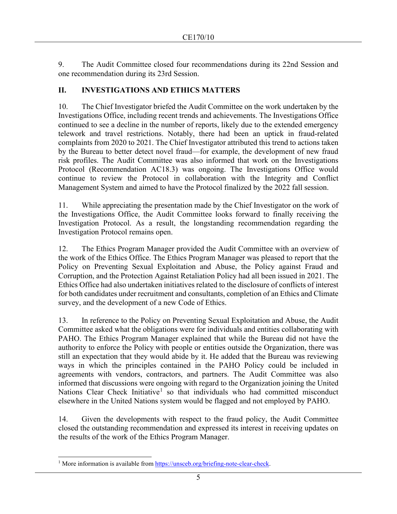9. The Audit Committee closed four recommendations during its 22nd Session and one recommendation during its 23rd Session.

#### <span id="page-4-0"></span>**II. INVESTIGATIONS AND ETHICS MATTERS**

10. The Chief Investigator briefed the Audit Committee on the work undertaken by the Investigations Office, including recent trends and achievements. The Investigations Office continued to see a decline in the number of reports, likely due to the extended emergency telework and travel restrictions. Notably, there had been an uptick in fraud-related complaints from 2020 to 2021. The Chief Investigator attributed this trend to actions taken by the Bureau to better detect novel fraud—for example, the development of new fraud risk profiles. The Audit Committee was also informed that work on the Investigations Protocol (Recommendation AC18.3) was ongoing. The Investigations Office would continue to review the Protocol in collaboration with the Integrity and Conflict Management System and aimed to have the Protocol finalized by the 2022 fall session.

11. While appreciating the presentation made by the Chief Investigator on the work of the Investigations Office, the Audit Committee looks forward to finally receiving the Investigation Protocol. As a result, the longstanding recommendation regarding the Investigation Protocol remains open.

12. The Ethics Program Manager provided the Audit Committee with an overview of the work of the Ethics Office. The Ethics Program Manager was pleased to report that the Policy on Preventing Sexual Exploitation and Abuse, the Policy against Fraud and Corruption, and the Protection Against Retaliation Policy had all been issued in 2021. The Ethics Office had also undertaken initiatives related to the disclosure of conflicts of interest for both candidates under recruitment and consultants, completion of an Ethics and Climate survey, and the development of a new Code of Ethics.

13. In reference to the Policy on Preventing Sexual Exploitation and Abuse, the Audit Committee asked what the obligations were for individuals and entities collaborating with PAHO. The Ethics Program Manager explained that while the Bureau did not have the authority to enforce the Policy with people or entities outside the Organization, there was still an expectation that they would abide by it. He added that the Bureau was reviewing ways in which the principles contained in the PAHO Policy could be included in agreements with vendors, contractors, and partners. The Audit Committee was also informed that discussions were ongoing with regard to the Organization joining the United Nations Clear Check Initiative<sup>[1](#page-4-1)</sup> so that individuals who had committed misconduct elsewhere in the United Nations system would be flagged and not employed by PAHO.

14. Given the developments with respect to the fraud policy, the Audit Committee closed the outstanding recommendation and expressed its interest in receiving updates on the results of the work of the Ethics Program Manager.

<span id="page-4-1"></span><sup>&</sup>lt;sup>1</sup> More information is available from [https://unsceb.org/briefing-note-clear-check.](https://unsceb.org/briefing-note-clear-check)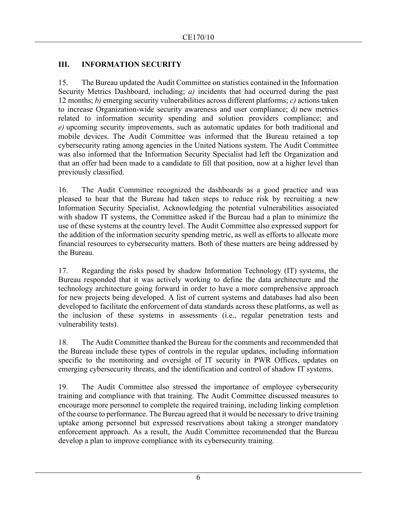## <span id="page-5-0"></span>**III. INFORMATION SECURITY**

15. The Bureau updated the Audit Committee on statistics contained in the Information Security Metrics Dashboard, including; *a)* incidents that had occurred during the past 12 months; *b)* emerging security vulnerabilities across different platforms; *c)* actions taken to increase Organization-wide security awareness and user compliance; d*)* new metrics related to information security spending and solution providers compliance; and *e)* upcoming security improvements, such as automatic updates for both traditional and mobile devices. The Audit Committee was informed that the Bureau retained a top cybersecurity rating among agencies in the United Nations system. The Audit Committee was also informed that the Information Security Specialist had left the Organization and that an offer had been made to a candidate to fill that position, now at a higher level than previously classified.

16. The Audit Committee recognized the dashboards as a good practice and was pleased to hear that the Bureau had taken steps to reduce risk by recruiting a new Information Security Specialist. Acknowledging the potential vulnerabilities associated with shadow IT systems, the Committee asked if the Bureau had a plan to minimize the use of these systems at the country level. The Audit Committee also expressed support for the addition of the information security spending metric, as well as efforts to allocate more financial resources to cybersecurity matters. Both of these matters are being addressed by the Bureau.

17. Regarding the risks posed by shadow Information Technology (IT) systems, the Bureau responded that it was actively working to define the data architecture and the technology architecture going forward in order to have a more comprehensive approach for new projects being developed. A list of current systems and databases had also been developed to facilitate the enforcement of data standards across these platforms, as well as the inclusion of these systems in assessments (i.e., regular penetration tests and vulnerability tests).

18. The Audit Committee thanked the Bureau for the comments and recommended that the Bureau include these types of controls in the regular updates, including information specific to the monitoring and oversight of IT security in PWR Offices, updates on emerging cybersecurity threats, and the identification and control of shadow IT systems.

19. The Audit Committee also stressed the importance of employee cybersecurity training and compliance with that training. The Audit Committee discussed measures to encourage more personnel to complete the required training, including linking completion of the course to performance. The Bureau agreed that it would be necessary to drive training uptake among personnel but expressed reservations about taking a stronger mandatory enforcement approach. As a result, the Audit Committee recommended that the Bureau develop a plan to improve compliance with its cybersecurity training.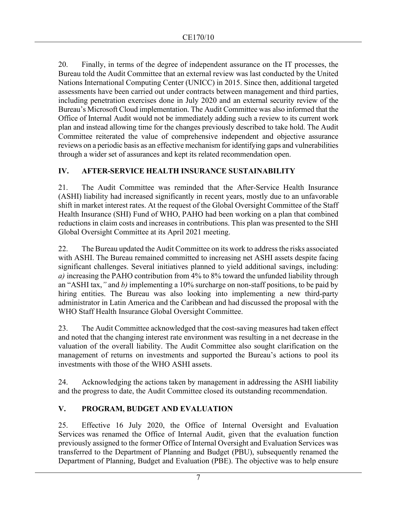20. Finally, in terms of the degree of independent assurance on the IT processes, the Bureau told the Audit Committee that an external review was last conducted by the United Nations International Computing Center (UNICC) in 2015. Since then, additional targeted assessments have been carried out under contracts between management and third parties, including penetration exercises done in July 2020 and an external security review of the Bureau's Microsoft Cloud implementation. The Audit Committee was also informed that the Office of Internal Audit would not be immediately adding such a review to its current work plan and instead allowing time for the changes previously described to take hold. The Audit Committee reiterated the value of comprehensive independent and objective assurance reviews on a periodic basis as an effective mechanism for identifying gaps and vulnerabilities through a wider set of assurances and kept its related recommendation open.

## <span id="page-6-0"></span>**IV. AFTER-SERVICE HEALTH INSURANCE SUSTAINABILITY**

21. The Audit Committee was reminded that the After-Service Health Insurance (ASHI) liability had increased significantly in recent years, mostly due to an unfavorable shift in market interest rates. At the request of the Global Oversight Committee of the Staff Health Insurance (SHI) Fund of WHO, PAHO had been working on a plan that combined reductions in claim costs and increases in contributions. This plan was presented to the SHI Global Oversight Committee at its April 2021 meeting.

22. The Bureau updated the Audit Committee on its work to address the risks associated with ASHI. The Bureau remained committed to increasing net ASHI assets despite facing significant challenges. Several initiatives planned to yield additional savings, including: *a)* increasing the PAHO contribution from 4% to 8% toward the unfunded liability through an "ASHI tax,*"* and *b)* implementing a 10% surcharge on non-staff positions, to be paid by hiring entities. The Bureau was also looking into implementing a new third-party administrator in Latin America and the Caribbean and had discussed the proposal with the WHO Staff Health Insurance Global Oversight Committee.

23. The Audit Committee acknowledged that the cost-saving measures had taken effect and noted that the changing interest rate environment was resulting in a net decrease in the valuation of the overall liability. The Audit Committee also sought clarification on the management of returns on investments and supported the Bureau's actions to pool its investments with those of the WHO ASHI assets.

24. Acknowledging the actions taken by management in addressing the ASHI liability and the progress to date, the Audit Committee closed its outstanding recommendation.

## <span id="page-6-1"></span>**V. PROGRAM, BUDGET AND EVALUATION**

25. Effective 16 July 2020, the Office of Internal Oversight and Evaluation Services was renamed the Office of Internal Audit, given that the evaluation function previously assigned to the former Office of Internal Oversight and Evaluation Services was transferred to the Department of Planning and Budget (PBU), subsequently renamed the Department of Planning, Budget and Evaluation (PBE). The objective was to help ensure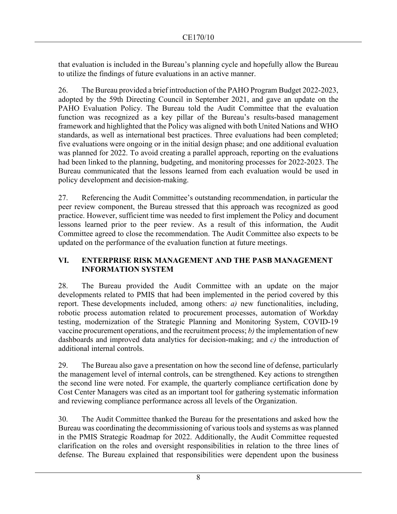that evaluation is included in the Bureau's planning cycle and hopefully allow the Bureau to utilize the findings of future evaluations in an active manner.

26. The Bureau provided a brief introduction of the PAHO Program Budget 2022-2023, adopted by the 59th Directing Council in September 2021, and gave an update on the PAHO Evaluation Policy. The Bureau told the Audit Committee that the evaluation function was recognized as a key pillar of the Bureau's results-based management framework and highlighted that the Policy was aligned with both United Nations and WHO standards, as well as international best practices. Three evaluations had been completed; five evaluations were ongoing or in the initial design phase; and one additional evaluation was planned for 2022. To avoid creating a parallel approach, reporting on the evaluations had been linked to the planning, budgeting, and monitoring processes for 2022-2023. The Bureau communicated that the lessons learned from each evaluation would be used in policy development and decision-making.

27. Referencing the Audit Committee's outstanding recommendation, in particular the peer review component, the Bureau stressed that this approach was recognized as good practice. However, sufficient time was needed to first implement the Policy and document lessons learned prior to the peer review. As a result of this information, the Audit Committee agreed to close the recommendation. The Audit Committee also expects to be updated on the performance of the evaluation function at future meetings.

## <span id="page-7-0"></span>**VI. ENTERPRISE RISK MANAGEMENT AND THE PASB MANAGEMENT INFORMATION SYSTEM**

28. The Bureau provided the Audit Committee with an update on the major developments related to PMIS that had been implemented in the period covered by this report. These developments included, among others: *a)* new functionalities, including, robotic process automation related to procurement processes, automation of Workday testing, modernization of the Strategic Planning and Monitoring System, COVID-19 vaccine procurement operations, and the recruitment process; *b)* the implementation of new dashboards and improved data analytics for decision-making; and *c)* the introduction of additional internal controls.

29. The Bureau also gave a presentation on how the second line of defense, particularly the management level of internal controls, can be strengthened. Key actions to strengthen the second line were noted. For example, the quarterly compliance certification done by Cost Center Managers was cited as an important tool for gathering systematic information and reviewing compliance performance across all levels of the Organization.

30. The Audit Committee thanked the Bureau for the presentations and asked how the Bureau was coordinating the decommissioning of various tools and systems as was planned in the PMIS Strategic Roadmap for 2022. Additionally, the Audit Committee requested clarification on the roles and oversight responsibilities in relation to the three lines of defense. The Bureau explained that responsibilities were dependent upon the business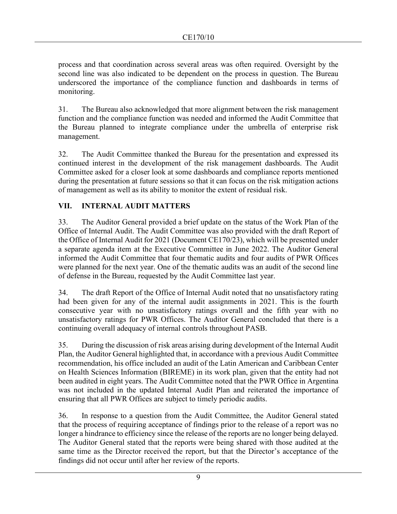process and that coordination across several areas was often required. Oversight by the second line was also indicated to be dependent on the process in question. The Bureau underscored the importance of the compliance function and dashboards in terms of monitoring.

31. The Bureau also acknowledged that more alignment between the risk management function and the compliance function was needed and informed the Audit Committee that the Bureau planned to integrate compliance under the umbrella of enterprise risk management.

32. The Audit Committee thanked the Bureau for the presentation and expressed its continued interest in the development of the risk management dashboards. The Audit Committee asked for a closer look at some dashboards and compliance reports mentioned during the presentation at future sessions so that it can focus on the risk mitigation actions of management as well as its ability to monitor the extent of residual risk.

## <span id="page-8-0"></span>**VII. INTERNAL AUDIT MATTERS**

33. The Auditor General provided a brief update on the status of the Work Plan of the Office of Internal Audit. The Audit Committee was also provided with the draft Report of the Office of Internal Audit for 2021 (Document CE170/23), which will be presented under a separate agenda item at the Executive Committee in June 2022. The Auditor General informed the Audit Committee that four thematic audits and four audits of PWR Offices were planned for the next year. One of the thematic audits was an audit of the second line of defense in the Bureau, requested by the Audit Committee last year.

34. The draft Report of the Office of Internal Audit noted that no unsatisfactory rating had been given for any of the internal audit assignments in 2021. This is the fourth consecutive year with no unsatisfactory ratings overall and the fifth year with no unsatisfactory ratings for PWR Offices. The Auditor General concluded that there is a continuing overall adequacy of internal controls throughout PASB.

35. During the discussion of risk areas arising during development of the Internal Audit Plan, the Auditor General highlighted that, in accordance with a previous Audit Committee recommendation, his office included an audit of the Latin American and Caribbean Center on Health Sciences Information (BIREME) in its work plan, given that the entity had not been audited in eight years. The Audit Committee noted that the PWR Office in Argentina was not included in the updated Internal Audit Plan and reiterated the importance of ensuring that all PWR Offices are subject to timely periodic audits.

36. In response to a question from the Audit Committee, the Auditor General stated that the process of requiring acceptance of findings prior to the release of a report was no longer a hindrance to efficiency since the release of the reports are no longer being delayed. The Auditor General stated that the reports were being shared with those audited at the same time as the Director received the report, but that the Director's acceptance of the findings did not occur until after her review of the reports.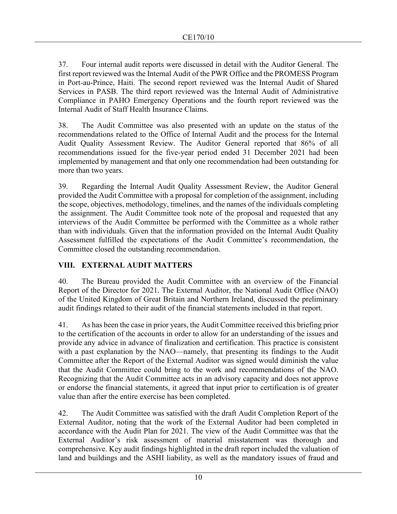37. Four internal audit reports were discussed in detail with the Auditor General. The first report reviewed was the Internal Audit of the PWR Office and the PROMESS Program in Port-au-Prince, Haiti. The second report reviewed was the Internal Audit of Shared Services in PASB. The third report reviewed was the Internal Audit of Administrative Compliance in PAHO Emergency Operations and the fourth report reviewed was the Internal Audit of Staff Health Insurance Claims.

38. The Audit Committee was also presented with an update on the status of the recommendations related to the Office of Internal Audit and the process for the Internal Audit Quality Assessment Review. The Auditor General reported that 86% of all recommendations issued for the five-year period ended 31 December 2021 had been implemented by management and that only one recommendation had been outstanding for more than two years.

39. Regarding the Internal Audit Quality Assessment Review, the Auditor General provided the Audit Committee with a proposal for completion of the assignment, including the scope, objectives, methodology, timelines, and the names of the individuals completing the assignment. The Audit Committee took note of the proposal and requested that any interviews of the Audit Committee be performed with the Committee as a whole rather than with individuals. Given that the information provided on the Internal Audit Quality Assessment fulfilled the expectations of the Audit Committee's recommendation, the Committee closed the outstanding recommendation.

## <span id="page-9-0"></span>**VIII. EXTERNAL AUDIT MATTERS**

40. The Bureau provided the Audit Committee with an overview of the Financial Report of the Director for 2021. The External Auditor, the National Audit Office (NAO) of the United Kingdom of Great Britain and Northern Ireland, discussed the preliminary audit findings related to their audit of the financial statements included in that report.

41. As has been the case in prior years, the Audit Committee received this briefing prior to the certification of the accounts in order to allow for an understanding of the issues and provide any advice in advance of finalization and certification. This practice is consistent with a past explanation by the NAO—namely, that presenting its findings to the Audit Committee after the Report of the External Auditor was signed would diminish the value that the Audit Committee could bring to the work and recommendations of the NAO. Recognizing that the Audit Committee acts in an advisory capacity and does not approve or endorse the financial statements, it agreed that input prior to certification is of greater value than after the entire exercise has been completed.

42. The Audit Committee was satisfied with the draft Audit Completion Report of the External Auditor, noting that the work of the External Auditor had been completed in accordance with the Audit Plan for 2021. The view of the Audit Committee was that the External Auditor's risk assessment of material misstatement was thorough and comprehensive. Key audit findings highlighted in the draft report included the valuation of land and buildings and the ASHI liability, as well as the mandatory issues of fraud and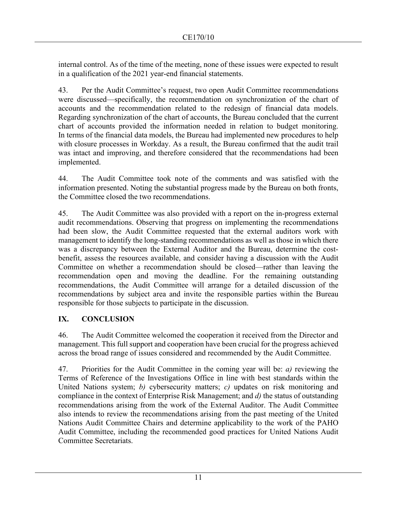internal control. As of the time of the meeting, none of these issues were expected to result in a qualification of the 2021 year-end financial statements.

43. Per the Audit Committee's request, two open Audit Committee recommendations were discussed—specifically, the recommendation on synchronization of the chart of accounts and the recommendation related to the redesign of financial data models. Regarding synchronization of the chart of accounts, the Bureau concluded that the current chart of accounts provided the information needed in relation to budget monitoring. In terms of the financial data models, the Bureau had implemented new procedures to help with closure processes in Workday. As a result, the Bureau confirmed that the audit trail was intact and improving, and therefore considered that the recommendations had been implemented.

44. The Audit Committee took note of the comments and was satisfied with the information presented. Noting the substantial progress made by the Bureau on both fronts, the Committee closed the two recommendations.

45. The Audit Committee was also provided with a report on the in-progress external audit recommendations. Observing that progress on implementing the recommendations had been slow, the Audit Committee requested that the external auditors work with management to identify the long-standing recommendations as well as those in which there was a discrepancy between the External Auditor and the Bureau, determine the costbenefit, assess the resources available, and consider having a discussion with the Audit Committee on whether a recommendation should be closed—rather than leaving the recommendation open and moving the deadline. For the remaining outstanding recommendations, the Audit Committee will arrange for a detailed discussion of the recommendations by subject area and invite the responsible parties within the Bureau responsible for those subjects to participate in the discussion.

# <span id="page-10-0"></span>**IX. CONCLUSION**

46. The Audit Committee welcomed the cooperation it received from the Director and management. This full support and cooperation have been crucial for the progress achieved across the broad range of issues considered and recommended by the Audit Committee.

47. Priorities for the Audit Committee in the coming year will be: *a)* reviewing the Terms of Reference of the Investigations Office in line with best standards within the United Nations system; *b)* cybersecurity matters; *c)* updates on risk monitoring and compliance in the context of Enterprise Risk Management; and *d)* the status of outstanding recommendations arising from the work of the External Auditor. The Audit Committee also intends to review the recommendations arising from the past meeting of the United Nations Audit Committee Chairs and determine applicability to the work of the PAHO Audit Committee, including the recommended good practices for United Nations Audit Committee Secretariats.